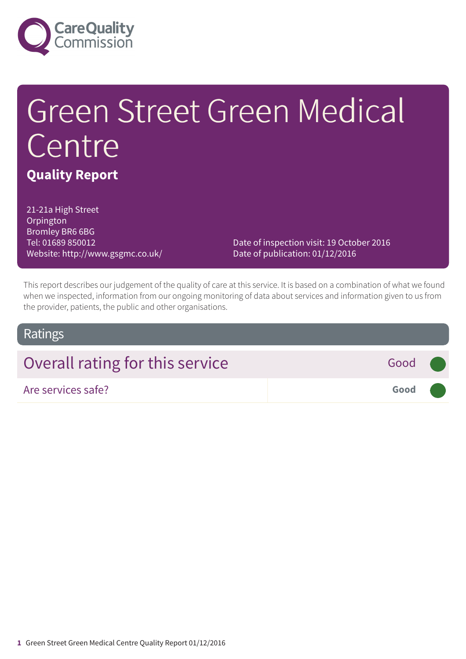

# Green Street Green Medical Centre **Quality Report**

21-21a High Street **Orpington** Bromley BR6 6BG Tel: 01689 850012 Website: http://www.gsgmc.co.uk/

Date of inspection visit: 19 October 2016 Date of publication: 01/12/2016

This report describes our judgement of the quality of care at this service. It is based on a combination of what we found when we inspected, information from our ongoing monitoring of data about services and information given to us from the provider, patients, the public and other organisations.

### Ratings

| Overall rating for this service | Good (                    |  |
|---------------------------------|---------------------------|--|
| Are services safe?              | Good <b>Communication</b> |  |
|                                 |                           |  |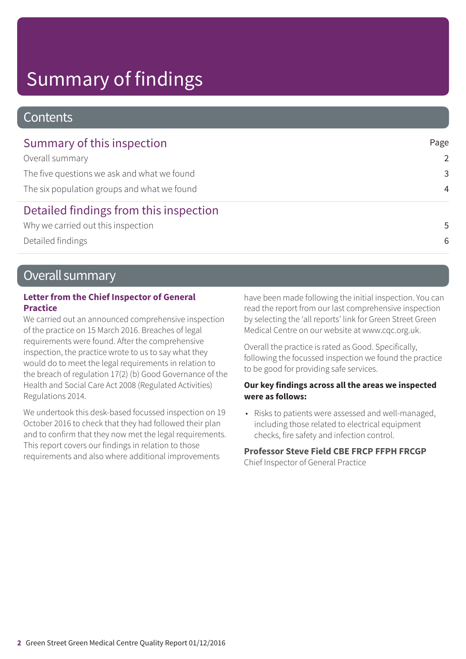# Summary of findings

### **Contents**

| Summary of this inspection                  | Page           |
|---------------------------------------------|----------------|
| Overall summary                             | $\overline{2}$ |
| The five questions we ask and what we found | 3              |
| The six population groups and what we found | $\overline{4}$ |
| Detailed findings from this inspection      |                |
| Why we carried out this inspection          | 5              |
| Detailed findings                           | 6              |

## Overall summary

#### **Letter from the Chief Inspector of General Practice**

We carried out an announced comprehensive inspection of the practice on 15 March 2016. Breaches of legal requirements were found. After the comprehensive inspection, the practice wrote to us to say what they would do to meet the legal requirements in relation to the breach of regulation 17(2) (b) Good Governance of the Health and Social Care Act 2008 (Regulated Activities) Regulations 2014.

We undertook this desk-based focussed inspection on 19 October 2016 to check that they had followed their plan and to confirm that they now met the legal requirements. This report covers our findings in relation to those requirements and also where additional improvements

have been made following the initial inspection. You can read the report from our last comprehensive inspection by selecting the 'all reports' link for Green Street Green Medical Centre on our website at www.cqc.org.uk.

Overall the practice is rated as Good. Specifically, following the focussed inspection we found the practice to be good for providing safe services.

#### **Our key findings across all the areas we inspected were as follows:**

• Risks to patients were assessed and well-managed, including those related to electrical equipment checks, fire safety and infection control.

#### **Professor Steve Field CBE FRCP FFPH FRCGP**

Chief Inspector of General Practice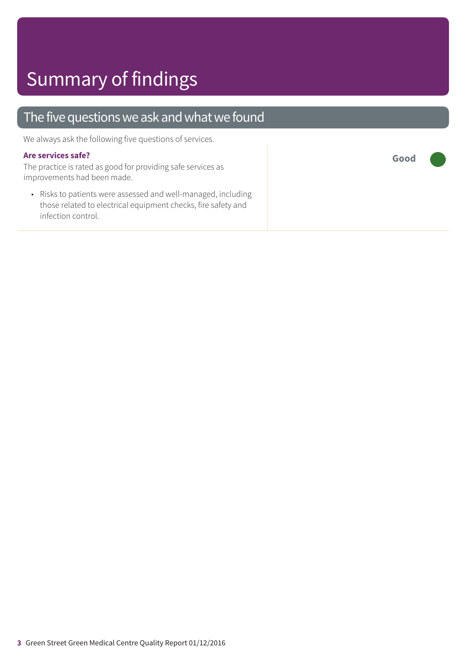## The five questions we ask and what we found

We always ask the following five questions of services.

#### **Are services safe?**

The practice is rated as good for providing safe services as improvements had been made.

• Risks to patients were assessed and well-managed, including those related to electrical equipment checks, fire safety and infection control.

**Good –––**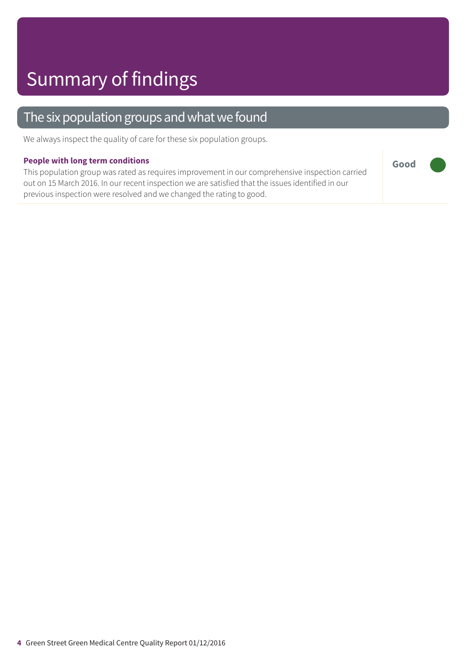## The six population groups and what we found

We always inspect the quality of care for these six population groups.

#### **People with long term conditions**

This population group was rated as requires improvement in our comprehensive inspection carried out on 15 March 2016. In our recent inspection we are satisfied that the issues identified in our previous inspection were resolved and we changed the rating to good.

**Good –––**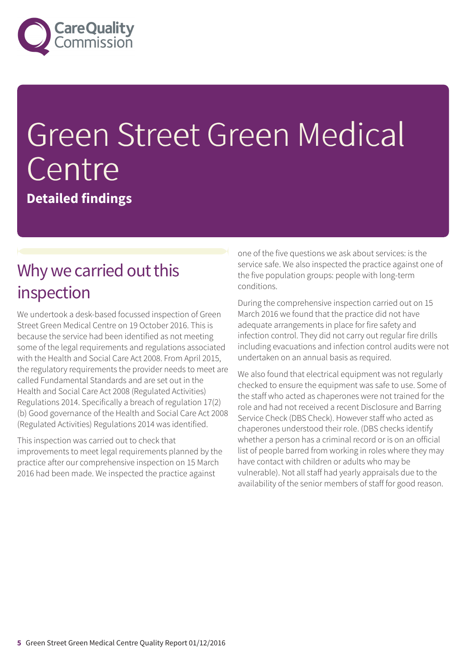

# Green Street Green Medical **Centre**

**Detailed findings**

# Why we carried out this inspection

We undertook a desk-based focussed inspection of Green Street Green Medical Centre on 19 October 2016. This is because the service had been identified as not meeting some of the legal requirements and regulations associated with the Health and Social Care Act 2008. From April 2015, the regulatory requirements the provider needs to meet are called Fundamental Standards and are set out in the Health and Social Care Act 2008 (Regulated Activities) Regulations 2014. Specifically a breach of regulation 17(2) (b) Good governance of the Health and Social Care Act 2008 (Regulated Activities) Regulations 2014 was identified.

This inspection was carried out to check that improvements to meet legal requirements planned by the practice after our comprehensive inspection on 15 March 2016 had been made. We inspected the practice against

one of the five questions we ask about services: is the service safe. We also inspected the practice against one of the five population groups: people with long-term conditions.

During the comprehensive inspection carried out on 15 March 2016 we found that the practice did not have adequate arrangements in place for fire safety and infection control. They did not carry out regular fire drills including evacuations and infection control audits were not undertaken on an annual basis as required.

We also found that electrical equipment was not regularly checked to ensure the equipment was safe to use. Some of the staff who acted as chaperones were not trained for the role and had not received a recent Disclosure and Barring Service Check (DBS Check). However staff who acted as chaperones understood their role. (DBS checks identify whether a person has a criminal record or is on an official list of people barred from working in roles where they may have contact with children or adults who may be vulnerable). Not all staff had yearly appraisals due to the availability of the senior members of staff for good reason.